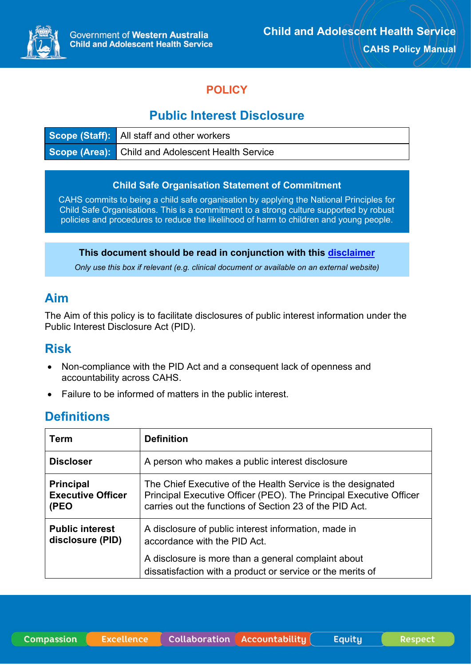

**Respect** 

## **POLICY**

# **Public Interest Disclosure**

| <b>Scope (Staff):</b> All staff and other workers        |
|----------------------------------------------------------|
| <b>Scope (Area):</b> Child and Adolescent Health Service |

#### **Child Safe Organisation Statement of Commitment**

CAHS commits to being a child safe organisation by applying the National Principles for Child Safe Organisations. This is a commitment to a strong culture supported by robust policies and procedures to reduce the likelihood of harm to children and young people.

#### **This document should be read in conjunction with this [disclaimer](https://www.cahs.health.wa.gov.au/For-health-professionals/Resources/CAHS-Clinical-Disclaimer)**

*Only use this box if relevant (e.g. clinical document or available on an external website)*

### **Aim**

The Aim of this policy is to facilitate disclosures of public interest information under the Public Interest Disclosure Act (PID).

### **Risk**

- Non-compliance with the PID Act and a consequent lack of openness and accountability across CAHS.
- Failure to be informed of matters in the public interest.

### **Definitions**

| Term                                                 | <b>Definition</b>                                                                                                                                                                            |  |  |
|------------------------------------------------------|----------------------------------------------------------------------------------------------------------------------------------------------------------------------------------------------|--|--|
| <b>Discloser</b>                                     | A person who makes a public interest disclosure                                                                                                                                              |  |  |
| <b>Principal</b><br><b>Executive Officer</b><br>(PEO | The Chief Executive of the Health Service is the designated<br>Principal Executive Officer (PEO). The Principal Executive Officer<br>carries out the functions of Section 23 of the PID Act. |  |  |
| <b>Public interest</b><br>disclosure (PID)           | A disclosure of public interest information, made in<br>accordance with the PID Act.                                                                                                         |  |  |
|                                                      | A disclosure is more than a general complaint about<br>dissatisfaction with a product or service or the merits of                                                                            |  |  |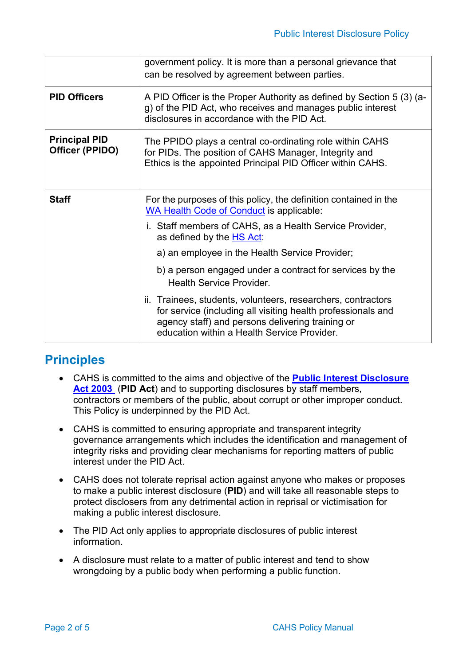|                                         | government policy. It is more than a personal grievance that<br>can be resolved by agreement between parties.                                                                                                                   |  |  |
|-----------------------------------------|---------------------------------------------------------------------------------------------------------------------------------------------------------------------------------------------------------------------------------|--|--|
| <b>PID Officers</b>                     | A PID Officer is the Proper Authority as defined by Section 5 (3) (a-<br>g) of the PID Act, who receives and manages public interest<br>disclosures in accordance with the PID Act.                                             |  |  |
| <b>Principal PID</b><br>Officer (PPIDO) | The PPIDO plays a central co-ordinating role within CAHS<br>for PIDs. The position of CAHS Manager, Integrity and<br>Ethics is the appointed Principal PID Officer within CAHS.                                                 |  |  |
| <b>Staff</b>                            | For the purposes of this policy, the definition contained in the<br><b>WA Health Code of Conduct is applicable:</b>                                                                                                             |  |  |
|                                         | i. Staff members of CAHS, as a Health Service Provider,<br>as defined by the HS Act:                                                                                                                                            |  |  |
|                                         | a) an employee in the Health Service Provider;                                                                                                                                                                                  |  |  |
|                                         | b) a person engaged under a contract for services by the<br><b>Health Service Provider.</b>                                                                                                                                     |  |  |
|                                         | ii. Trainees, students, volunteers, researchers, contractors<br>for service (including all visiting health professionals and<br>agency staff) and persons delivering training or<br>education within a Health Service Provider. |  |  |

# **Principles**

- CAHS is committed to the aims and objective of the **[Public Interest Disclosure](https://www.legislation.wa.gov.au/legislation/statutes.nsf/main_mrtitle_767_homepage.html)  [Act 2003](https://www.legislation.wa.gov.au/legislation/statutes.nsf/main_mrtitle_767_homepage.html)** (**PID Act**) and to supporting disclosures by staff members, contractors or members of the public, about corrupt or other improper conduct. This Policy is underpinned by the PID Act.
- CAHS is committed to ensuring appropriate and transparent integrity governance arrangements which includes the identification and management of integrity risks and providing clear mechanisms for reporting matters of public interest under the PID Act.
- CAHS does not tolerate reprisal action against anyone who makes or proposes to make a public interest disclosure (**PID**) and will take all reasonable steps to protect disclosers from any detrimental action in reprisal or victimisation for making a public interest disclosure.
- The PID Act only applies to appropriate disclosures of public interest information.
- A disclosure must relate to a matter of public interest and tend to show wrongdoing by a public body when performing a public function.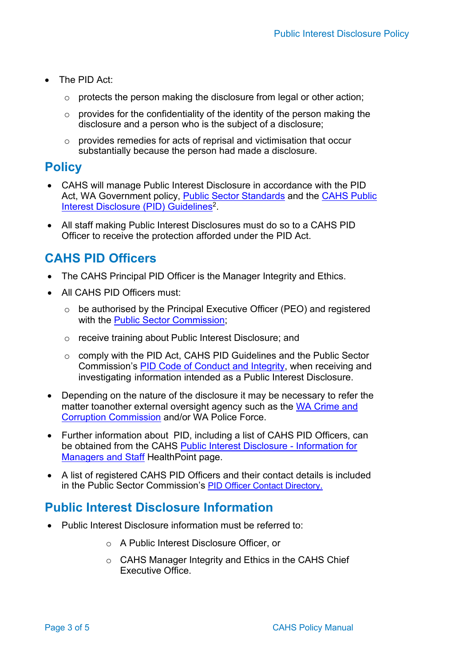- The PID Act:
	- o protects the person making the disclosure from legal or other action;
	- $\circ$  provides for the confidentiality of the identity of the person making the disclosure and a person who is the subject of a disclosure;
	- o provides remedies for acts of reprisal and victimisation that occur substantially because the person had made a disclosure.

## **Policy**

- CAHS will manage Public Interest Disclosure in accordance with the PID Act, WA Government policy, [Public Sector Standards](https://www.wa.gov.au/organisation/public-sector-commission/public-sector-standards-human-resource-management) and the [CAHS Public](https://cahs.health.wa.gov.au/%7E/media/HSPs/CAHS/Documents/About-us/Conduct/CAHSPMPublicInterestDisclosureGUIDELINE.pdf)  [Interest Disclosure \(PID\) Guidelines2](https://cahs.health.wa.gov.au/%7E/media/HSPs/CAHS/Documents/About-us/Conduct/CAHSPMPublicInterestDisclosureGUIDELINE.pdf).
- All staff making Public Interest Disclosures must do so to a CAHS PID Officer to receive the protection afforded under the PID Act.

# **CAHS PID Officers**

- The CAHS Principal PID Officer is the Manager Integrity and Ethics.
- All CAHS PID Officers must:
	- o be authorised by the Principal Executive Officer (PEO) and registered with the [Public Sector Commission;](https://www.wa.gov.au/organisation/public-sector-commission)
	- o receive training about Public Interest Disclosure; and
	- o comply with the PID Act, CAHS PID Guidelines and the Public Sector Commission's [PID Code of Conduct and Integrity,](https://www.wa.gov.au/sites/default/files/2020-05/PID%20Officers%20code%20of%20conduct%20and%20integrity.pdf) when receiving and investigating information intended as a Public Interest Disclosure.
- Depending on the nature of the disclosure it may be necessary to refer the matter toanother external oversight agency such as the [WA Crime and](https://www.ccc.wa.gov.au/)  Corruption [Commission](https://www.ccc.wa.gov.au/) and/or WA Police Force.
- Further information about PID, including a list of CAHS PID Officers, can be obtained from the CAHS [Public Interest Disclosure -](https://cahs-healthpoint.hdwa.health.wa.gov.au/integrity/info_managers_staff/Pages/Public-Interest-Disclosure.aspx) Information for [Managers and Staff](https://cahs-healthpoint.hdwa.health.wa.gov.au/integrity/info_managers_staff/Pages/Public-Interest-Disclosure.aspx) HealthPoint page.
- A list of registered CAHS PID Officers and their contact details is included in the Public Sector Commission's [PID Officer Contact Directory.](https://www.wa.gov.au/sites/default/files/2021-09/PID%20officer%20contact%20directory.pdf)

# **Public Interest Disclosure Information**

- Public Interest Disclosure information must be referred to:
	- o A Public Interest Disclosure Officer, or
	- o CAHS Manager Integrity and Ethics in the CAHS Chief Executive Office.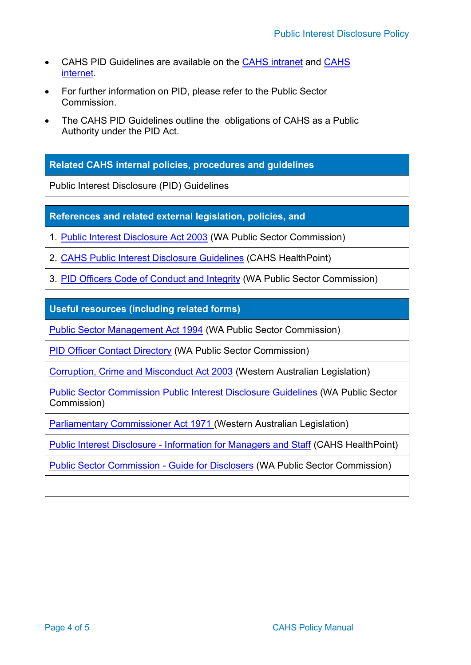- CAHS PID Guidelines are available on the [CAHS intranet](https://cahs-healthpoint.hdwa.health.wa.gov.au/Pages/default.aspx) and [CAHS](https://cahs.health.wa.gov.au/%7E/media/HSPs/CAHS/Documents/About-us/Conduct/CAHSPMPublicInterestDisclosureGUIDELINE.pdf) [internet.](https://cahs.health.wa.gov.au/%7E/media/HSPs/CAHS/Documents/About-us/Conduct/CAHSPMPublicInterestDisclosureGUIDELINE.pdf)
- For further information on PID, please refer to the Public Sector **Commission**
- The CAHS PID Guidelines outline the obligations of CAHS as a Public Authority under the PID Act.

**Related CAHS internal policies, procedures and guidelines**

Public Interest Disclosure (PID) Guidelines

**References and related external legislation, policies, and** 

1. Public Interest [Disclosure](https://www.legislation.wa.gov.au/legislation/statutes.nsf/main_mrtitle_767_homepage.html) Act 2003 (WA Public Sector Commission)

2. CAHS Public Interest Disclosure [Guidelines](https://cahs.health.wa.gov.au/%7E/media/HSPs/CAHS/Documents/About-us/Conduct/CAHSPMPublicInterestDisclosureGUIDELINE.pdf) (CAHS HealthPoint)

3. PID Officers Code of [Conduct](https://www.wa.gov.au/sites/default/files/2020-05/PID%20Officers%20code%20of%20conduct%20and%20integrity.pdf) and Integrity (WA Public Sector Commission)

**Useful resources (including related forms)**

Public Sector [Management](https://www.legislation.wa.gov.au/legislation/statutes.nsf/main_mrtitle_771_homepage.html) Act 1994 (WA Public Sector Commission)

PID Officer Contact [Directory](https://www.wa.gov.au/sites/default/files/2021-09/PID%20officer%20contact%20directory.pdf) (WA Public Sector Commission)

Corruption, Crime and [Misconduct](https://www.legislation.wa.gov.au/legislation/statutes.nsf/main_mrtitle_207_homepage.html) Act 2003 (Western Australian Legislation)

[Public Sector Commission Public Interest Disclosure Guidelines](https://www.wa.gov.au/organisation/public-sector-commission/guide-public-interest-disclosures-wa-public-authorities) (WA Public Sector Commission)

[Parliamentary Commissioner Act 1971 \(](https://www.legislation.wa.gov.au/legislation/statutes.nsf/main_mrtitle_674_homepage.html)Western Australian Legislation)

Public Interest Disclosure - [Information](https://cahs-healthpoint.hdwa.health.wa.gov.au/integrity/info_managers_staff/Pages/Public-Interest-Disclosure.aspx) for Managers and Staff (CAHS HealthPoint)

Public Sector [Commission](https://www.wa.gov.au/organisation/public-sector-commission/public-interest-disclosure-information-disclosers) - Guide for Disclosers (WA Public Sector Commission)